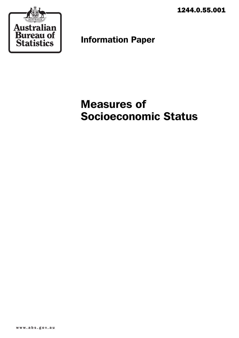1244.0.55.001



Information Paper

# Measures of Socioeconomic Status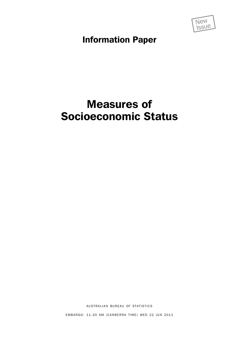

Information Paper

## Measures of Socioeconomic Status

AUSTRALIAN BUREAU OF STATISTICS

EMBARGO: 11.30 AM (CANBERRA TIME) WED 22 JUN 2011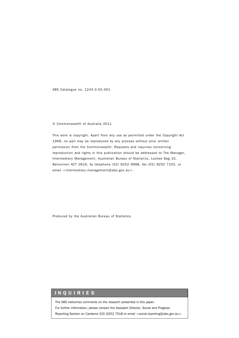ABS Catalogue no. 1244.0.55.001

#### © Commonwealth of Australia 2011

This work is copyright. Apart from any use as permitted under the *Copyright Act 1968*, no part may be reproduced by any process without prior written permission from the Commonwealth. Requests and inquiries concerning reproduction and rights in this publication should be addressed to The Manager, Intermediary Management, Australian Bureau of Statistics, Locked Bag 10, Belconnen ACT 2616, by telephone (02) 6252 6998, fax (02) 6252 7102, or email <intermediary.management@abs.gov.au>.

Produced by the Australian Bureau of Statistics

#### INQUIRIES

The ABS welcomes comments on the research presented in this paper.

For further information, please contact the Assistant Director, Social and Progress

Reporting Section on Canberra (02) 6252 7518 or email <social.reporting@abs.gov.au>.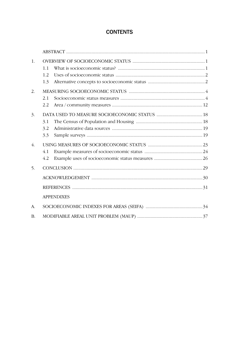## **CONTENTS**

| 1.               |                   |  |  |  |
|------------------|-------------------|--|--|--|
|                  | 11                |  |  |  |
|                  | 1.2               |  |  |  |
|                  | 1.3               |  |  |  |
| 2.               |                   |  |  |  |
|                  | 2.1               |  |  |  |
|                  | 2.2               |  |  |  |
| 3.               |                   |  |  |  |
|                  | 3.1               |  |  |  |
|                  | 3.2               |  |  |  |
|                  | 3.3               |  |  |  |
| $\overline{4}$ . |                   |  |  |  |
|                  | 4.1               |  |  |  |
|                  | 4.2               |  |  |  |
| 5.               |                   |  |  |  |
|                  |                   |  |  |  |
|                  |                   |  |  |  |
|                  | <b>APPENDIXES</b> |  |  |  |
| A.               |                   |  |  |  |
| <b>B.</b>        |                   |  |  |  |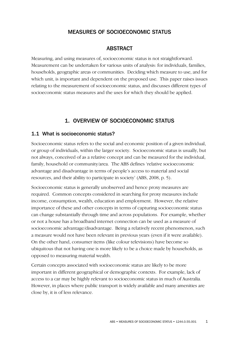## MEASURES OF SOCIOECONOMIC STATUS

## **ABSTRACT**

Measuring, and using measures of, socioeconomic status is not straightforward. Measurement can be undertaken for various units of analysis: for individuals, families, households, geographic areas or communities. Deciding which measure to use, and for which unit, is important and dependent on the proposed use. This paper raises issues relating to the measurement of socioeconomic status, and discusses different types of socioeconomic status measures and the uses for which they should be applied.

## 1. OVERVIEW OF SOCIOECONOMIC STATUS

## 1.1 What is socioeconomic status?

Socioeconomic status refers to the social and economic position of a given individual, or group of individuals, within the larger society. Socioeconomic status is usually, but not always, conceived of as a relative concept and can be measured for the individual, family, household or community/area. The ABS defines 'relative socioeconomic advantage and disadvantage in terms of people's access to material and social resources, and their ability to participate in society' (ABS, 2008, p. 5).

Socioeconomic status is generally unobserved and hence proxy measures are required. Common concepts considered in searching for proxy measures include income, consumption, wealth, education and employment. However, the relative importance of these and other concepts in terms of capturing socioeconomic status can change substantially through time and across populations. For example, whether or not a house has a broadband internet connection can be used as a measure of socioeconomic advantage/disadvantage. Being a relatively recent phenomenon, such a measure would not have been relevant in previous years (even if it were available). On the other hand, consumer items (like colour televisions) have become so ubiquitous that not having one is more likely to be a choice made by households, as opposed to measuring material wealth.

Certain concepts associated with socioeconomic status are likely to be more important in different geographical or demographic contexts. For example, lack of access to a car may be highly relevant to socioeconomic status in much of Australia. However, in places where public transport is widely available and many amenities are close by, it is of less relevance.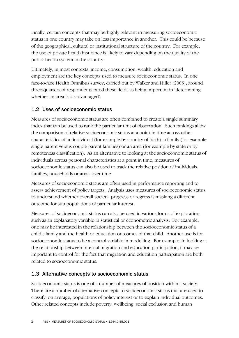Finally, certain concepts that may be highly relevant in measuring socioeconomic status in one country may take on less importance in another. This could be because of the geographical, cultural or institutional structure of the country. For example, the use of private health insurance is likely to vary depending on the quality of the public health system in the country.

Ultimately, in most contexts, income, consumption, wealth, education and employment are the key concepts used to measure socioeconomic status. In one face-to-face Health Omnibus survey, carried out by Walker and Hiller (2005), around three quarters of respondents rated these fields as being important in 'determining whether an area is disadvantaged'.

## 1.2 Uses of socioeconomic status

Measures of socioeconomic status are often combined to create a single summary index that can be used to rank the particular unit of observation. Such rankings allow the comparison of relative socioeconomic status at a point in time across other characteristics of an individual (for example by country of birth), a family (for example single parent versus couple parent families) or an area (for example by state or by remoteness classification). As an alternative to looking at the socioeconomic status of individuals across personal characteristics at a point in time, measures of socioeconomic status can also be used to track the relative position of individuals, families, households or areas over time.

Measures of socioeconomic status are often used in performance reporting and to assess achievement of policy targets. Analysis uses measures of socioeconomic status to understand whether overall societal progress or regress is masking a different outcome for sub-populations of particular interest.

Measures of socioeconomic status can also be used in various forms of exploration, such as an explanatory variable in statistical or econometric analysis. For example, one may be interested in the relationship between the socioeconomic status of a child's family and the health or education outcomes of that child. Another use is for socioeconomic status to be a control variable in modelling. For example, in looking at the relationship between internal migration and education participation, it may be important to control for the fact that migration and education participation are both related to socioeconomic status.

## 1.3 Alternative concepts to socioeconomic status

Socioeconomic status is one of a number of measures of position within a society. There are a number of alternative concepts to socioeconomic status that are used to classify, on average, populations of policy interest or to explain individual outcomes. Other related concepts include poverty, wellbeing, social exclusion and human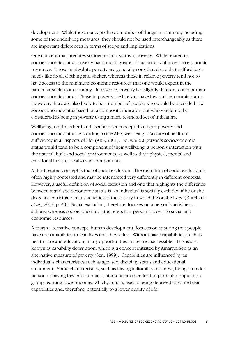development. While these concepts have a number of things in common, including some of the underlying measures, they should not be used interchangeably as there are important differences in terms of scope and implications.

One concept that predates socioeconomic status is poverty. While related to socioeconomic status, poverty has a much greater focus on lack of access to economic resources. Those in absolute poverty are generally considered unable to afford basic needs like food, clothing and shelter, whereas those in relative poverty tend not to have access to the minimum economic resources that one would expect in the particular society or economy. In essence, poverty is a slightly different concept than socioeconomic status. Those in poverty are likely to have low socioeconomic status. However, there are also likely to be a number of people who would be accorded low socioeconomic status based on a composite indicator, but who would not be considered as being in poverty using a more restricted set of indicators.

Wellbeing, on the other hand, is a broader concept than both poverty and socioeconomic status. According to the ABS, wellbeing is 'a state of health or sufficiency in all aspects of life' (ABS, 2001). So, while a person's socioeconomic status would tend to be a component of their wellbeing, a person's interaction with the natural, built and social environments, as well as their physical, mental and emotional health, are also vital components.

A third related concept is that of social exclusion. The definition of social exclusion is often highly contested and may be interpreted very differently in different contexts. However, a useful definition of social exclusion and one that highlights the difference between it and socioeconomic status is 'an individual is socially excluded if he or she does not participate in key activities of the society in which he or she lives' (Burchardt *et al.,* 2002, p. 30). Social exclusion, therefore, focuses on a person's activities or actions, whereas socioeconomic status refers to a person's access to social and economic resources.

A fourth alternative concept, human development, focuses on ensuring that people have the capabilities to lead lives that they value. Without basic capabilities, such as health care and education, many opportunities in life are inaccessible. This is also known as capability deprivation, which is a concept initiated by Amartya Sen as an alternative measure of poverty (Sen, 1999). Capabilities are influenced by an individual's characteristics such as age, sex, disability status and educational attainment. Some characteristics, such as having a disability or illness, being on older person or having low educational attainment can then lead to particular population groups earning lower incomes which, in turn, lead to being deprived of some basic capabilities and, therefore, potentially to a lower quality of life.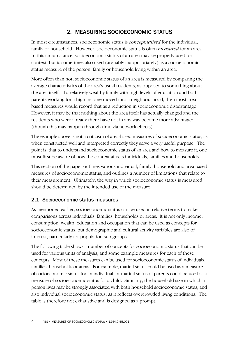## 2. MEASURING SOCIOECONOMIC STATUS

In most circumstances, socioeconomic status is *conceptualised* for the individual, family or household. However, socioeconomic status is often *measured* for an area. In this circumstance, socioeconomic status of an area may be properly used for context, but is sometimes also used (arguably inappropriately) as a socioeconomic status measure of the person, family or household living within an area.

More often than not, socioeconomic status of an area is measured by comparing the average characteristics of the area's usual residents, as opposed to something about the area itself. If a relatively wealthy family with high levels of education and both parents working for a high income moved into a neighbourhood, then most areabased measures would record that as a reduction in socioeconomic disadvantage. However, it may be that nothing about the area itself has actually changed and the residents who were already there have not in any way become more advantaged (though this may happen through time via network effects).

The example above is not a criticism of area-based measures of socioeconomic status, as when constructed well and interpreted correctly they serve a very useful purpose. The point is, that to understand socioeconomic status of an area and how to measure it, one must first be aware of how the context affects individuals, families and households.

This section of the paper outlines various individual, family, household and area based measures of socioeconomic status, and outlines a number of limitations that relate to their measurement. Ultimately, the way in which socioeconomic status is measured should be determined by the intended use of the measure.

## 2.1 Socioeconomic status measures

As mentioned earlier, socioeconomic status can be used in relative terms to make comparisons across individuals, families, households or areas. It is not only income, consumption, wealth, education and occupation that can be used as concepts for socioeconomic status, but demographic and cultural activity variables are also of interest, particularly for population sub-groups.

The following table shows a number of concepts for socioeconomic status that can be used for various units of analysis, and some example measures for each of these concepts. Most of these measures can be used for socioeconomic status of individuals, families, households or areas. For example, marital status could be used as a measure of socioeconomic status for an individual, or marital status of parents could be used as a measure of socioeconomic status for a child. Similarly, the household size in which a person lives may be strongly associated with both household socioeconomic status, and also individual socioeconomic status, as it reflects overcrowded living conditions. The table is therefore not exhaustive and is designed as a prompt.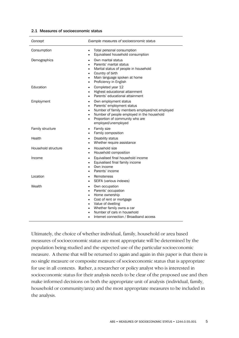| Concept             | Example measures of socioeconomic status                                                                                                                                                                                                                                       |
|---------------------|--------------------------------------------------------------------------------------------------------------------------------------------------------------------------------------------------------------------------------------------------------------------------------|
| Consumption         | Total personal consumption<br>٠<br>Equivalised household consumption<br>$\bullet$                                                                                                                                                                                              |
| Demographics        | Own marital status<br>$\bullet$<br>Parents' marital status<br>$\bullet$<br>Marital status of people in household<br>٠<br>Country of birth<br>$\bullet$<br>Main language spoken at home<br>٠<br>Proficiency in English<br>$\bullet$                                             |
| Education           | Completed year 12<br>٠<br>Highest educational attainment<br>$\bullet$<br>Parents' educational attainment<br>$\bullet$                                                                                                                                                          |
| Employment          | Own employment status<br>$\bullet$<br>Parents' employment status<br>٠<br>Number of family members employed/not employed<br>٠<br>Number of people employed in the household<br>٠<br>Proportion of community who are<br>٠<br>employed/unemployed                                 |
| Family structure    | Family size<br>٠<br>Family composition<br>$\bullet$                                                                                                                                                                                                                            |
| Health              | Disability status<br>$\bullet$<br>Whether require assistance<br>$\bullet$                                                                                                                                                                                                      |
| Household structure | Household size<br>$\bullet$<br>Household composition<br>$\bullet$                                                                                                                                                                                                              |
| Income              | Equivalised final household income<br>$\bullet$<br>Equivalised final family income<br>$\bullet$<br>Own income<br>٠<br>Parents' income                                                                                                                                          |
| Location            | Remoteness<br>$\bullet$<br>SEIFA (various indexes)<br>٠                                                                                                                                                                                                                        |
| Wealth              | Own occupation<br>٠<br>Parents' occupation<br>٠<br>Home ownership<br>$\bullet$<br>Cost of rent or mortgage<br>٠<br>Value of dwelling<br>$\bullet$<br>Whether family owns a car<br>٠<br>Number of cars in household<br>٠<br>Internet connection / Broadband access<br>$\bullet$ |

Ultimately, the choice of whether individual, family, household or area based measures of socioeconomic status are most appropriate will be determined by the population being studied and the expected use of the particular socioeconomic measure. A theme that will be returned to again and again in this paper is that there is no single measure or composite measure of socioeconomic status that is appropriate for use in all contexts. Rather, a researcher or policy analyst who is interested in socioeconomic status for their analysis needs to be clear of the proposed use and then make informed decisions on both the appropriate unit of analysis (individual, family, household or community/area) and the most appropriate measures to be included in the analysis.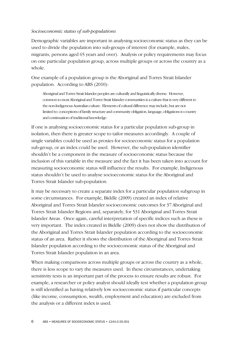## *Socioeconomic status of sub-populations*

Demographic variables are important in analysing socioeconomic status as they can be used to divide the population into sub-groups of interest (for example, males, migrants, persons aged 65 years and over). Analysis or policy requirements may focus on one particular population group, across multiple groups or across the country as a whole.

One example of a population group is the Aboriginal and Torres Strait Islander population. According to ABS (2010):

Aboriginal and Torres Strait Islander peoples are culturally and linguistically diverse. However, common to most Aboriginal and Torres Strait Islander communities is a culture that is very different to the non-Indigenous Australian culture. Elements of cultural difference may include, but are not limited to: conceptions of family structure and community obligation, language, obligations to country and continuation of traditional knowledge.

If one is analysing socioeconomic status for a particular population sub-group in isolation, then there is greater scope to tailor measures accordingly. A couple of single variables could be used as proxies for socioeconomic status for a population sub-group, or an index could be used. However, the sub-population identifier shouldn't be a component in the measure of socioeconomic status because the inclusion of this variable in the measure and the fact it has been taken into account for measuring socioeconomic status will influence the results. For example, Indigenous status shouldn't be used to analyse socioeconomic status for the Aboriginal and Torres Strait Islander sub-population.

It may be necessary to create a separate index for a particular population subgroup in some circumstances. For example, Biddle (2009) created an index of relative Aboriginal and Torres Strait Islander socioeconomic outcomes for 37 Aboriginal and Torres Strait Islander Regions and, separately, for 531 Aboriginal and Torres Strait Islander Areas. Once again, careful interpretation of specific indices such as these is very important. The index created in Biddle (2009) does not show the distribution of the Aboriginal and Torres Strait Islander population according to the socioeconomic status of an area. Rather it shows the distribution of the Aboriginal and Torres Strait Islander population according to the socioeconomic status of the Aboriginal and Torres Strait Islander population in an area.

When making comparisons across multiple groups or across the country as a whole, there is less scope to vary the measures used. In these circumstances, undertaking sensitivity tests is an important part of the process to ensure results are robust. For example, a researcher or policy analyst should ideally test whether a population group is still identified as having relatively low socioeconomic status if particular concepts (like income, consumption, wealth, employment and education) are excluded from the analysis or a different index is used.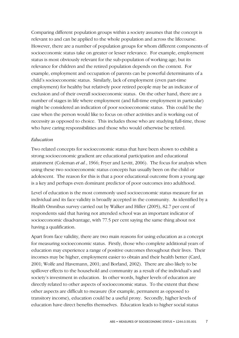Comparing different population groups within a society assumes that the concept is relevant to and can be applied to the whole population and across the lifecourse. However, there are a number of population groups for whom different components of socioeconomic status take on greater or lesser relevance. For example, employment status is most obviously relevant for the sub-population of working age, but its relevance for children and the retired population depends on the context. For example, employment and occupation of parents can be powerful determinants of a child's socioeconomic status. Similarly, lack of employment (even part-time employment) for healthy but relatively poor retired people may be an indicator of exclusion and of their overall socioeconomic status. On the other hand, there are a number of stages in life where employment (and full-time employment in particular) might be considered an indication of poor socioeconomic status. This could be the case when the person would like to focus on other activities and is working out of necessity as opposed to choice. This includes those who are studying full-time, those who have caring responsibilities and those who would otherwise be retired.

#### *Education*

Two related concepts for socioeconomic status that have been shown to exhibit a strong socioeconomic gradient are educational participation and educational attainment (Coleman *et al.*, 1966; Fryer and Levitt, 2006). The focus for analysis when using these two socioeconomic status concepts has usually been on the child or adolescent. The reason for this is that a poor educational outcome from a young age is a key and perhaps even dominant predictor of poor outcomes into adulthood.

Level of education is the most commonly used socioeconomic status measure for an individual and its face validity is broadly accepted in the community. As identified by a Health Omnibus survey carried out by Walker and Hiller (2005), 82.7 per cent of respondents said that having not attended school was an important indicator of socioeconomic disadvantage, with 77.5 per cent saying the same thing about not having a qualification.

Apart from face validity, there are two main reasons for using education as a concept for measuring socioeconomic status. Firstly, those who complete additional years of education may experience a range of positive outcomes throughout their lives. Their incomes may be higher, employment easier to obtain and their health better (Card, 2001; Wolfe and Havemann, 2001; and Borland, 2002). There are also likely to be spillover effects to the household and community as a result of the individual's and society's investment in education. In other words, higher levels of education are directly related to other aspects of socioeconomic status. To the extent that these other aspects are difficult to measure (for example, permanent as opposed to transitory income), education could be a useful proxy. Secondly, higher levels of education have direct benefits themselves. Education leads to higher social status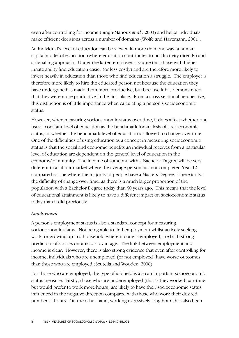even after controlling for income (Singh-Manoux *et al.,* 2003) and helps individuals make efficient decisions across a number of domains (Wolfe and Havemann, 2001).

An individual's level of education can be viewed in more than one way: a human capital model of education (where education contributes to productivity directly) and a signalling approach. Under the latter, employers assume that those with higher innate ability find education easier (or less costly) and are therefore more likely to invest heavily in education than those who find education a struggle. The employer is therefore more likely to hire the educated person not because the education they have undergone has made them more productive, but because it has demonstrated that they were more productive in the first place. From a cross-sectional perspective, this distinction is of little importance when calculating a person's socioeconomic status.

However, when measuring socioeconomic status over time, it does affect whether one uses a constant level of education as the benchmark for analysis of socioeconomic status, or whether the benchmark level of education is allowed to change over time. One of the difficulties of using education as a concept in measuring socioeconomic status is that the social and economic benefits an individual receives from a particular level of education are dependent on the general level of education in the economy/community. The income of someone with a Bachelor Degree will be very different in a labour market where the average person has not completed Year 12 compared to one where the majority of people have a Masters Degree. There is also the difficulty of change over time, as there is a much larger proportion of the population with a Bachelor Degree today than 50 years ago. This means that the level of educational attainment is likely to have a different impact on socioeconomic status today than it did previously.

## *Employment*

A person's employment status is also a standard concept for measuring socioeconomic status. Not being able to find employment whilst actively seeking work, or growing up in a household where no one is employed, are both strong predictors of socioeconomic disadvantage. The link between employment and income is clear. However, there is also strong evidence that even after controlling for income, individuals who are unemployed (or not employed) have worse outcomes than those who are employed (Scutella and Wooden, 2008).

For those who are employed, the type of job held is also an important socioeconomic status measure. Firstly, those who are underemployed (that is they worked part-time but would prefer to work more hours) are likely to have their socioeconomic status influenced in the negative direction compared with those who work their desired number of hours. On the other hand, working excessively long hours has also been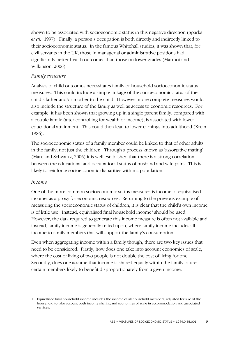shown to be associated with socioeconomic status in this negative direction (Sparks *et al.*, 1997). Finally, a person's occupation is both directly and indirectly linked to their socioeconomic status. In the famous Whitehall studies, it was shown that, for civil servants in the UK, those in managerial or administrative positions had significantly better health outcomes than those on lower grades (Marmot and Wilkinson, 2006).

## *Family structure*

Analysis of child outcomes necessitates family or household socioeconomic status measures. This could include a simple linkage of the socioeconomic status of the child's father and/or mother to the child. However, more complete measures would also include the structure of the family as well as access to economic resources. For example, it has been shown that growing up in a single parent family, compared with a couple family (after controlling for wealth or income), is associated with lower educational attainment. This could then lead to lower earnings into adulthood (Krein, 1986).

The socioeconomic status of a family member could be linked to that of other adults in the family, not just the children. Through a process known as 'assortative mating' (Mare and Schwartz, 2006) it is well established that there is a strong correlation between the educational and occupational status of husband and wife pairs. This is likely to reinforce socioeconomic disparities within a population.

## *Income*

One of the more common socioeconomic status measures is income or equivalised income, as a proxy for economic resources. Returning to the previous example of measuring the socioeconomic status of children, it is clear that the child's own income is of little use. Instead, equivalised final household income<sup>1</sup> should be used. However, the data required to generate this income measure is often not available and instead, family income is generally relied upon, where family income includes all income to family members that will support the family's consumption.

Even when aggregating income within a family though, there are two key issues that need to be considered. Firstly, how does one take into account economies of scale, where the cost of living of two people is not double the cost of living for one. Secondly, does one assume that income is shared equally within the family or are certain members likely to benefit disproportionately from a given income.

 $\overline{a}$ 1 Equivalised final household income includes the income of all household members, adjusted for size of the household to take account both income sharing and economies of scale in accommodation and associated services.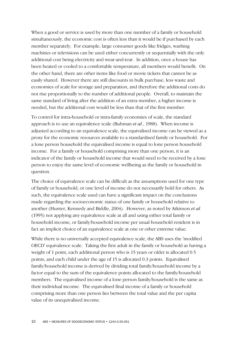When a good or service is used by more than one member of a family or household simultaneously, the economic cost is often less than it would be if purchased by each member separately. For example, large consumer goods like fridges, washing machines or televisions can be used either concurrently or sequentially with the only additional cost being electricity and wear-and-tear. In addition, once a house has been heated or cooled to a comfortable temperature, all members would benefit. On the other hand, there are other items like food or movie tickets that cannot be as easily shared. However there are still discounts in bulk purchase, less waste and economies of scale for storage and preparation, and therefore the additional costs do not rise proportionally to the number of additional people. Overall, to maintain the same standard of living after the addition of an extra member, a higher income is needed, but the additional cost would be less than that of the first member.

To control for intra-household or intra-family economies of scale, the standard approach is to use an equivalence scale (Buhman *et al.*, 1988). When income is adjusted according to an equivalence scale, the equivalised income can be viewed as a proxy for the economic resources available to a standardised family or household. For a lone person household the equivalised income is equal to lone person household income. For a family or household comprising more than one person, it is an indicator of the family or household income that would need to be received by a lone person to enjoy the same level of economic wellbeing as the family or household in question.

The choice of equivalence scale can be difficult as the assumptions used for one type of family or household, or one level of income do not necessarily hold for others. As such, the equivalence scale used can have a significant impact on the conclusions made regarding the socioeconomic status of one family or household relative to another (Hunter, Kennedy and Biddle, 2004). However, as noted by Atkinson *et al.*  (1995) not applying any equivalence scale at all and using either total family or household income, or family/household income per usual household resident is in fact an implicit choice of an equivalence scale at one or other extreme value.

While there is no universally accepted equivalence scale, the ABS uses the 'modified OECD' equivalence scale. Taking the first adult in the family or household as having a weight of 1 point, each additional person who is 15 years or older is allocated 0.5 points, and each child under the age of 15 is allocated 0.3 points. Equivalised family/household income is derived by dividing total family/household income by a factor equal to the sum of the equivalence points allocated to the family/household members. The equivalised income of a lone person family/household is the same as their individual income. The equivalised final income of a family or household comprising more than one person lies between the total value and the per capita value of its unequivalised income.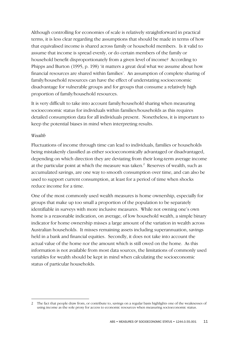Although controlling for economies of scale is relatively straightforward in practical terms, it is less clear regarding the assumptions that should be made in terms of how that equivalised income is shared across family or household members. Is it valid to assume that income is spread evenly, or do certain members of the family or household benefit disproportionately from a given level of income? According to Phipps and Burton (1995, p. 198) 'it matters a great deal what we assume about how financial resources are shared within families'. An assumption of complete sharing of family/household resources can have the effect of understating socioeconomic disadvantage for vulnerable groups and for groups that consume a relatively high proportion of family/household resources.

It is very difficult to take into account family/household sharing when measuring socioeconomic status for individuals within families/households as this requires detailed consumption data for all individuals present. Nonetheless, it is important to keep the potential biases in mind when interpreting results.

#### *Wealth*

 $\overline{a}$ 

Fluctuations of income through time can lead to individuals, families or households being mistakenly classified as either socioeconomically advantaged or disadvantaged, depending on which direction they are deviating from their long-term average income at the particular point at which the measure was taken. $^2$  Reserves of wealth, such as accumulated savings, are one way to smooth consumption over time, and can also be used to support current consumption, at least for a period of time when shocks reduce income for a time.

One of the most commonly used wealth measures is home ownership, especially for groups that make up too small a proportion of the population to be separately identifiable in surveys with more inclusive measures. While not owning one's own home is a reasonable indication, on average, of low household wealth, a simple binary indicator for home ownership misses a large amount of the variation in wealth across Australian households. It misses remaining assets including superannuation, savings held in a bank and financial equities. Secondly, it does not take into account the actual value of the home nor the amount which is still owed on the home. As this information is not available from most data sources, the limitations of commonly used variables for wealth should be kept in mind when calculating the socioeconomic status of particular households.

<sup>2</sup> The fact that people draw from, or contribute to, savings on a regular basis highlights one of the weaknesses of using income as the sole proxy for access to economic resources when measuring socioeconomic status.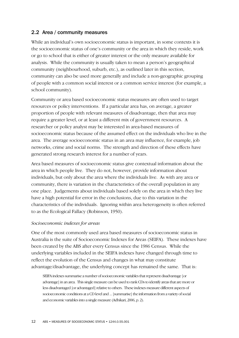## 2.2 Area / community measures

While an individual's own socioeconomic status is important, in some contexts it is the socioeconomic status of one's community or the area in which they reside, work or go to school that is either of greater interest or the only measure available for analysis. While the community is usually taken to mean a person's geographical community (neighbourhood, suburb, etc.), as outlined later in this section, community can also be used more generally and include a non-geographic grouping of people with a common social interest or a common service interest (for example, a school community).

Community or area based socioeconomic status measures are often used to target resources or policy interventions. If a particular area has, on average, a greater proportion of people with relevant measures of disadvantage, then that area may require a greater level, or at least a different mix of government resources. A researcher or policy analyst may be interested in area-based measures of socioeconomic status because of the assumed effect on the individuals who live in the area. The average socioeconomic status in an area may influence, for example, job networks, crime and social norms. The strength and direction of these effects have generated strong research interest for a number of years.

Area based measures of socioeconomic status give contextual information about the area in which people live. They do not, however, provide information about individuals, but only about the area where the individuals live. As with any area or community, there is variation in the characteristics of the overall population in any one place. Judgements about individuals based solely on the area in which they live have a high potential for error in the conclusions, due to this variation in the characteristics of the individuals. Ignoring within area heterogeneity is often referred to as the Ecological Fallacy (Robinson, 1950).

## *Socioeconomic indexes for areas*

One of the most commonly used area based measures of socioeconomic status in Australia is the suite of Socioeconomic Indexes for Areas (SEIFA). These indexes have been created by the ABS after every Census since the 1986 Census. While the underlying variables included in the SEIFA indexes have changed through time to reflect the evolution of the Census and changes in what may constitute advantage/disadvantage, the underlying concept has remained the same. That is:

SEIFA indexes summarise a number of socioeconomic variables that represent disadvantage [or advantage] in an area. This single measure can be used to rank CDs to identify areas that are more or less disadvantaged [or advantaged] relative to others. These indexes measure different aspects of socioeconomic conditions at a CD level and ... [summarise] the information from a variety of social and economic variables into a single measure (Adhikari, 2006, p. 2).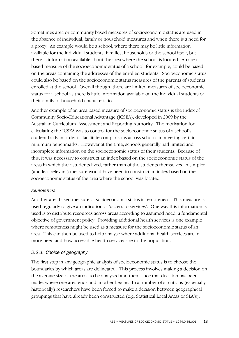Sometimes area or community based measures of socioeconomic status are used in the absence of individual, family or household measures and when there is a need for a proxy. An example would be a school, where there may be little information available for the individual students, families, households or the school itself, but there is information available about the area where the school is located. An areabased measure of the socioeconomic status of a school, for example, could be based on the areas containing the addresses of the enrolled students. Socioeconomic status could also be based on the socioeconomic status measures of the parents of students enrolled at the school. Overall though, there are limited measures of socioeconomic status for a school as there is little information available on the individual students or their family or household characteristics.

Another example of an area based measure of socioeconomic status is the Index of Community Socio-Educational Advantage (ICSEA), developed in 2009 by the Australian Curriculum, Assessment and Reporting Authority. The motivation for calculating the ICSEA was to control for the socioeconomic status of a school's student body in order to facilitate comparisons across schools in meeting certain minimum benchmarks. However at the time, schools generally had limited and incomplete information on the socioeconomic status of their students. Because of this, it was necessary to construct an index based on the socioeconomic status of the areas in which their students lived, rather than of the students themselves. A simpler (and less relevant) measure would have been to construct an index based on the socioeconomic status of the area where the school was located.

#### *Remoteness*

Another area-based measure of socioeconomic status is remoteness. This measure is used regularly to give an indication of 'access to services'. One way this information is used is to distribute resources across areas according to assumed need, a fundamental objective of government policy. Providing additional health services is one example where remoteness might be used as a measure for the socioeconomic status of an area. This can then be used to help analyse where additional health services are in more need and how accessible health services are to the population.

## *2.2.1 Choice of geography*

The first step in any geographic analysis of socioeconomic status is to choose the boundaries by which areas are delineated. This process involves making a decision on the average size of the areas to be analysed and then, once that decision has been made, where one area ends and another begins. In a number of situations (especially historically) researchers have been forced to make a decision between geographical groupings that have already been constructed (e.g. Statistical Local Areas or SLA's).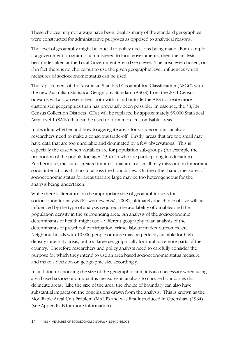These choices may not always have been ideal as many of the standard geographies were constructed for administrative purposes as opposed to analytical reasons.

The level of geography might be crucial to policy decisions being made. For example, if a government program is administered to local governments, then the analysis is best undertaken at the Local Government Area (LGA) level. The area level chosen, or if in fact there is no choice but to use the given geographic level, influences which measures of socioeconomic status can be used.

The replacement of the Australian Standard Geographical Classification (ASGC) with the new Australian Statistical Geography Standard (ASGS) from the 2011 Census onwards will allow researchers both within and outside the ABS to create more customised geographies than has previously been possible. In essence, the 38,704 Census Collection Districts (CDs) will be replaced by approximately 55,000 Statistical Area level 1 (SA1s) that can be used to form more customisable areas.

In deciding whether and how to aggregate areas for socioeconomic analysis, researchers need to make a conscious trade-off. Firstly, areas that are too small may have data that are too unreliable and dominated by a few observations. This is especially the case when variables are for population sub-groups (for example the proportion of the population aged 15 to 24 who are participating in education). Furthermore, measures created for areas that are too small may miss out on important social interactions that occur across the boundaries. On the other hand, measures of socioeconomic status for areas that are large may be too heterogeneous for the analysis being undertaken.

While there is literature on the appropriate size of geographic areas for socioeconomic analysis (Flowerdew *et al.*, 2008), ultimately the choice of size will be influenced by the type of analysis required, the availability of variables and the population density in the surrounding area. An analysis of the socioeconomic determinants of health might use a different geography to an analysis of the determinants of preschool participation, crime, labour market outcomes, etc.. Neighbourhoods with 10,000 people or more may be perfectly suitable for high density inner-city areas, but too large geographically for rural or remote parts of the country. Therefore researchers and policy analysts need to carefully consider the purpose for which they intend to use an area based socioeconomic status measure and make a decision on geographic size accordingly.

In addition to choosing the size of the geographic unit, it is also necessary when using area based socioeconomic status measures in analysis to choose boundaries that delineate areas. Like the size of the area, the choice of boundary can also have substantial impacts on the conclusions drawn from the analysis. This is known as the Modifiable Areal Unit Problem (MAUP) and was first introduced in Openshaw (1984) (see Appendix B for more information).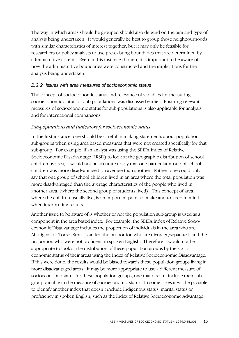The way in which areas should be grouped should also depend on the aim and type of analysis being undertaken. It would generally be best to group those neighbourhoods with similar characteristics of interest together, but it may only be feasible for researchers or policy analysts to use pre-existing boundaries that are determined by administrative criteria. Even in this instance though, it is important to be aware of how the administrative boundaries were constructed and the implications for the analysis being undertaken.

## *2.2.2 Issues with area measures of socioeconomic status*

The concept of socioeconomic status and relevance of variables for measuring socioeconomic status for sub-populations was discussed earlier. Ensuring relevant measures of socioeconomic status for sub-populations is also applicable for analysis and for international comparisons.

## *Sub-populations and indicators for socioeconomic status*

In the first instance, one should be careful in making statements about population sub-groups when using area based measures that were not created specifically for that sub-group. For example, if an analyst was using the SEIFA Index of Relative Socioeconomic Disadvantage (IRSD) to look at the geographic distribution of school children by area, it would not be accurate to say that one particular group of school children was more disadvantaged on average than another. Rather, one could only say that one group of school children lived in an area where the total population was more disadvantaged than the average characteristics of the people who lived in another area, (where the second group of students lived). This concept of area, where the children usually live, is an important point to make and to keep in mind when interpreting results.

Another issue to be aware of is whether or not the population sub-group is used as a component in the area based index. For example, the SEIFA Index of Relative Socioeconomic Disadvantage includes the proportion of individuals in the area who are Aboriginal or Torres Strait Islander, the proportion who are divorced/separated, and the proportion who were not proficient in spoken English. Therefore it would not be appropriate to look at the distribution of these population groups by the socioeconomic status of their areas using the Index of Relative Socioeconomic Disadvantage. If this were done, the results would be biased towards these population groups living in more disadvantaged areas. It may be more appropriate to use a different measure of socioeconomic status for these population groups, one that doesn't include their subgroup variable in the measure of socioeconomic status. In some cases it will be possible to identify another index that doesn't include Indigenous status, marital status or proficiency in spoken English, such as the Index of Relative Socioeconomic Advantage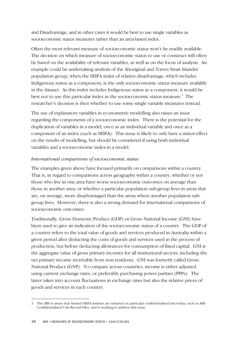and Disadvantage, and in other cases it would be best to use single variables as socioeconomic status measures rather than an area-based index.

Often the most relevant measure of socioeconomic status won't be readily available. The decision on which measure of socioeconomic status to use or construct will often be based on the availability of relevant variables, as well as on the focus of analysis. An example could be undertaking analysis of the Aboriginal and Torres Strait Islander population group, when the SEIFA index of relative disadvantage, which includes Indigenous status as a component, is the only socioeconomic status measure available in the dataset. As this index includes Indigenous status as a component, it would be best not to use this particular index as the socioeconomic status measure.<sup>3</sup> The researcher's decision is then whether to use some single variable measures instead.

The use of explanatory variables in econometric modelling also raises an issue regarding the components of a socioeconomic index. There is the potential for the duplication of variables in a model, once as an individual variable and once as a component of an index (such as SEIFA). This issue is likely to only have a minor effect on the results of modelling, but should be considered if using both individual variables and a socioeconomic index in a model.

## *International comparisons of socioeconomic status*

The examples given above have focused primarily on comparisons within a country. That is, in regard to comparisons across geography within a country, whether or not those who live in one area have worse socioeconomic outcomes on average than those in another area; or whether a particular population sub-group lives in areas that are, on average, more disadvantaged than the areas where another population subgroup lives. However, there is also a strong demand for international comparisons of socioeconomic outcomes.

Traditionally, Gross Domestic Product (GDP) or Gross National Income (GNI) have been used to give an indication of the socioeconomic status of a country. The GDP of a country refers to the total value of goods and services produced in Australia within a given period after deducting the costs of goods and services used in the process of production, but before deducting allowances for consumption of fixed capital. GNI is the aggregate value of gross primary incomes for all institutional sectors, including the net primary income receivable from non-residents. GNI was formerly called Gross National Product (GNP). To compare across countries, income is either adjusted using current exchange rates, or preferably purchasing power parities (PPPs). The latter takes into account fluctuations in exchange rates but also the relative prices of goods and services in each country.

 $\overline{a}$ 3 The ABS is aware that limited SEIFA indexes are released on particular confidentialised microdata, such as ABS Confidentialised Unit Record Files, and is working to address this issue.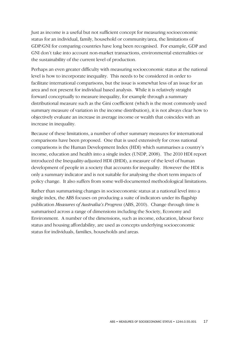Just as income is a useful but not sufficient concept for measuring socioeconomic status for an individual, family, household or community/area, the limitations of GDP/GNI for comparing countries have long been recognised. For example, GDP and GNI don't take into account non-market transactions, environmental externalities or the sustainability of the current level of production.

Perhaps an even greater difficulty with measuring socioeconomic status at the national level is how to incorporate inequality. This needs to be considered in order to facilitate international comparisons, but the issue is somewhat less of an issue for an area and not present for individual based analysis. While it is relatively straight forward conceptually to measure inequality, for example through a summary distributional measure such as the Gini coefficient (which is the most commonly used summary measure of variation in the income distribution), it is not always clear how to objectively evaluate an increase in average income or wealth that coincides with an increase in inequality.

Because of these limitations, a number of other summary measures for international comparisons have been proposed. One that is used extensively for cross national comparisons is the Human Development Index (HDI) which summarises a country's income, education and health into a single index (UNDP, 2008). The 2010 HDI report introduced the Inequality-adjusted HDI (IHDI), a measure of the level of human development of people in a society that accounts for inequality. However the HDI is only a summary indicator and is not suitable for analysing the short term impacts of policy change. It also suffers from some well-documented methodological limitations.

Rather than summarising changes in socioeconomic status at a national level into a single index, the ABS focuses on producing a suite of indicators under its flagship publication *Measures of Australia's Progress* (ABS, 2010). Change through time is summarised across a range of dimensions including the Society, Economy and Environment. A number of the dimensions, such as income, education, labour force status and housing affordability, are used as concepts underlying socioeconomic status for individuals, families, households and areas.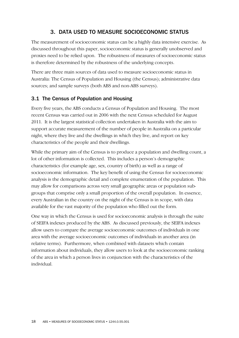## 3. DATA USED TO MEASURE SOCIOECONOMIC STATUS

The measurement of socioeconomic status can be a highly data intensive exercise. As discussed throughout this paper, socioeconomic status is generally unobserved and proxies need to be relied upon. The robustness of measures of socioeconomic status is therefore determined by the robustness of the underlying concepts.

There are three main sources of data used to measure socioeconomic status in Australia: The Census of Population and Housing (the Census); administrative data sources; and sample surveys (both ABS and non-ABS surveys).

## 3.1 The Census of Population and Housing

Every five years, the ABS conducts a Census of Population and Housing. The most recent Census was carried out in 2006 with the next Census scheduled for August 2011. It is the largest statistical collection undertaken in Australia with the aim to support accurate measurement of the number of people in Australia on a particular night, where they live and the dwellings in which they live, and report on key characteristics of the people and their dwellings.

While the primary aim of the Census is to produce a population and dwelling count, a lot of other information is collected. This includes a person's demographic characteristics (for example age, sex, country of birth) as well as a range of socioeconomic information. The key benefit of using the Census for socioeconomic analysis is the demographic detail and complete enumeration of the population. This may allow for comparisons across very small geographic areas or population subgroups that comprise only a small proportion of the overall population. In essence, every Australian in the country on the night of the Census is in scope, with data available for the vast majority of the population who filled out the form.

One way in which the Census is used for socioeconomic analysis is through the suite of SEIFA indexes produced by the ABS. As discussed previously, the SEIFA indexes allow users to compare the average socioeconomic outcomes of individuals in one area with the average socioeconomic outcomes of individuals in another area (in relative terms). Furthermore, when combined with datasets which contain information about individuals, they allow users to look at the socioeconomic ranking of the area in which a person lives in conjunction with the characteristics of the individual.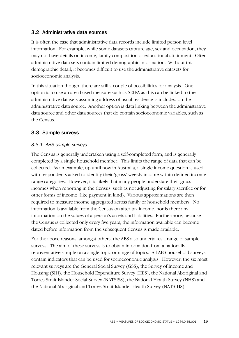## 3.2 Administrative data sources

It is often the case that administrative data records include limited person level information. For example, while some datasets capture age, sex and occupation, they may not have details on income, family composition or educational attainment. Often administrative data sets contain limited demographic information. Without this demographic detail, it becomes difficult to use the administrative datasets for socioeconomic analysis.

In this situation though, there are still a couple of possibilities for analysis. One option is to use an area based measure such as SEIFA as this can be linked to the administrative datasets assuming address of usual residence is included on the administrative data source. Another option is data linking between the administrative data source and other data sources that do contain socioeconomic variables, such as the Census.

## 3.3 Sample surveys

## *3.3.1 ABS sample surveys*

The Census is generally undertaken using a self-completed form, and is generally completed by a single household member. This limits the range of data that can be collected. As an example, up until now in Australia, a single income question is used with respondents asked to identify their 'gross' weekly income within defined income range categories. However, it is likely that many people understate their gross incomes when reporting in the Census, such as not adjusting for salary sacrifice or for other forms of income (like payment in kind). Various approximations are then required to measure income aggregated across family or household members. No information is available from the Census on after-tax income, nor is there any information on the values of a person's assets and liabilities. Furthermore, because the Census is collected only every five years, the information available can become dated before information from the subsequent Census is made available.

For the above reasons, amongst others, the ABS also undertakes a range of sample surveys. The aim of these surveys is to obtain information from a nationally representative sample on a single topic or range of topics. All ABS household surveys contain indicators that can be used for socioeconomic analysis. However, the six most relevant surveys are the General Social Survey (GSS), the Survey of Income and Housing (SIH), the Household Expenditure Survey (HES), the National Aboriginal and Torres Strait Islander Social Survey (NATSISS), the National Health Survey (NHS) and the National Aboriginal and Torres Strait Islander Health Survey (NATSIHS).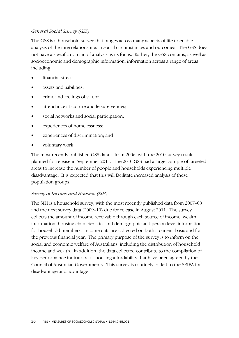## *General Social Survey (GSS)*

The GSS is a household survey that ranges across many aspects of life to enable analysis of the interrelationships in social circumstances and outcomes. The GSS does not have a specific domain of analysis as its focus. Rather, the GSS contains, as well as socioeconomic and demographic information, information across a range of areas including:

- financial stress:
- assets and liabilities;
- crime and feelings of safety;
- attendance at culture and leisure venues;
- social networks and social participation;
- experiences of homelessness;
- experiences of discrimination; and
- voluntary work.

The most recently published GSS data is from 2006, with the 2010 survey results planned for release in September 2011. The 2010 GSS had a larger sample of targeted areas to increase the number of people and households experiencing multiple disadvantage. It is expected that this will facilitate increased analysis of these population groups.

## *Survey of Income and Housing (SIH)*

The SIH is a household survey, with the most recently published data from 2007–08 and the next survey data (2009–10) due for release in August 2011. The survey collects the amount of income receivable through each source of income, wealth information, housing characteristics and demographic and person level information for household members. Income data are collected on both a current basis and for the previous financial year. The primary purpose of the survey is to inform on the social and economic welfare of Australians, including the distribution of household income and wealth. In addition, the data collected contribute to the compilation of key performance indicators for housing affordability that have been agreed by the Council of Australian Governments. This survey is routinely coded to the SEIFA for disadvantage and advantage.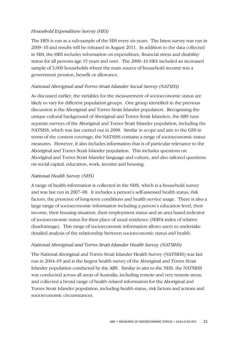## *Household Expenditure Survey (HES)*

The HES is run as a sub-sample of the SIH every six years. The latest survey was run in 2009–10 and results will be released in August 2011. In addition to the data collected in SIH, the HES includes information on expenditure, financial stress and disability status for all persons age 15 years and over. The 2009–10 HES included an increased sample of 3,000 households where the main source of household income was a government pension, benefit or allowance.

## *National Aboriginal and Torres Strait Islander Social Survey (NATSISS)*

As discussed earlier, the variables for the measurement of socioeconomic status are likely to vary for different population groups. One group identified in the previous discussion is the Aboriginal and Torres Strait Islander population. Recognising the unique cultural background of Aboriginal and Torres Strait Islanders, the ABS runs separate surveys of the Aboriginal and Torres Strait Islander population, including the NATSISS, which was last carried out in 2008. Similar in scope and aim to the GSS in terms of the content coverage, the NATSISS contains a range of socioeconomic status measures. However, it also includes information that is of particular relevance to the Aboriginal and Torres Strait Islander population. This includes questions on Aboriginal and Torres Strait Islander language and culture, and also tailored questions on social capital, education, work, income and housing.

## *National Health Survey (NHS)*

A range of health information is collected in the NHS, which is a household survey and was last run in 2007–08. It includes a person's self-assessed health status, risk factors, the presence of long-term conditions and health service usage. There is also a large range of socioeconomic information including a person's education level, their income, their housing situation, their employment status and an area based indicator of socioeconomic status for their place of usual residence (SEIFA index of relative disadvantage). This range of socioeconomic information allows users to undertake detailed analysis of the relationship between socioeconomic status and health.

## *National Aboriginal and Torres Strait Islander Health Survey (NATSIHS)*

The National Aboriginal and Torres Strait Islander Health Survey (NATSIHS) was last run in 2004–05 and is the largest health survey of the Aboriginal and Torres Strait Islander population conducted by the ABS. Similar in aim to the NHS, the NATSIHS was conducted across all areas of Australia, including remote and very remote areas, and collected a broad range of health related information for the Aboriginal and Torres Strait Islander population, including health status, risk factors and actions and socioeconomic circumstances.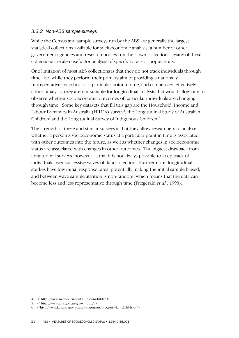## *3.3.2 Non-ABS sample surveys*

While the Census and sample surveys run by the ABS are generally the largest statistical collections available for socioeconomic analysis, a number of other government agencies and research bodies run their own collections. Many of these collections are also useful for analysis of specific topics or populations.

One limitation of most ABS collections is that they do not track individuals through time. So, while they perform their primary aim of providing a nationally representative snapshot for a particular point in time, and can be used effectively for cohort analysis, they are not suitable for longitudinal analysis that would allow one to observe whether socioeconomic outcomes of particular individuals are changing through time. Some key datasets that fill this gap are the Household, Income and Labour Dynamics in Australia (HILDA) survey $\frac{4}{3}$ , the Longitudinal Study of Australian Children<sup>5</sup> and the Longitudinal Survey of Indigenous Children.<sup>6</sup>

The strength of these and similar surveys is that they allow researchers to analyse whether a person's socioeconomic status at a particular point in time is associated with other outcomes into the future, as well as whether changes in socioeconomic status are associated with changes in other outcomes. The biggest drawback from longitudinal surveys, however, is that it is not always possible to keep track of individuals over successive waves of data collection. Furthermore, longitudinal studies have low initial response rates, potentially making the initial sample biased, and between wave sample attrition is non-random, which means that the data can become less and less representative through time (Fitzgerald *et al.*, 1998).

 $\overline{a}$ 

<sup>4 &</sup>lt; http://www.melbourneinstitute.com/hilda/ >

<sup>5 &</sup>lt; http://www.aifs.gov.au/growingup/ >

<sup>6 &</sup>lt;http:/www.fahcsia.gov.au/sa/indigenous/progserv/famchild/lsic/ >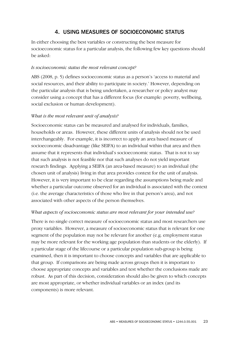## 4. USING MEASURES OF SOCIOECONOMIC STATUS

In either choosing the best variables or constructing the best measure for socioeconomic status for a particular analysis, the following few key questions should be asked:

#### *Is socioeconomic status the most relevant concept?*

ABS (2008, p. 5) defines socioeconomic status as a person's 'access to material and social resources, and their ability to participate in society.' However, depending on the particular analysis that is being undertaken, a researcher or policy analyst may consider using a concept that has a different focus (for example: poverty, wellbeing, social exclusion or human development).

## *What is the most relevant unit of analysis?*

Socioeconomic status can be measured and analysed for individuals, families, households or areas. However, these different units of analysis should not be used interchangeably. For example, it is incorrect to apply an area based measure of socioeconomic disadvantage (like SEIFA) to an individual within that area and then assume that it represents that individual's socioeconomic status. That is not to say that such analysis is not feasible nor that such analyses do not yield important research findings. Applying a SEIFA (an area-based measure) to an individual (the chosen unit of analysis) living in that area provides context for the unit of analysis. However, it is very important to be clear regarding the assumptions being made and whether a particular outcome observed for an individual is associated with the context (i.e. the average characteristics of those who live in that person's area), and not associated with other aspects of the person themselves.

## *What aspects of socioeconomic status are most relevant for your intended use?*

There is no single correct measure of socioeconomic status and most researchers use proxy variables. However, a measure of socioeconomic status that is relevant for one segment of the population may not be relevant for another (e.g. employment status may be more relevant for the working age population than students or the elderly). If a particular stage of the lifecourse or a particular population sub-group is being examined, then it is important to choose concepts and variables that are applicable to that group. If comparisons are being made across groups then it is important to choose appropriate concepts and variables and test whether the conclusions made are robust. As part of this decision, consideration should also be given to which concepts are most appropriate, or whether individual variables or an index (and its components) is more relevant.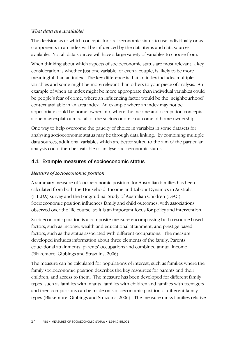## *What data are available?*

The decision as to which concepts for socioeconomic status to use individually or as components in an index will be influenced by the data items and data sources available. Not all data sources will have a large variety of variables to choose from.

When thinking about which aspects of socioeconomic status are most relevant, a key consideration is whether just one variable, or even a couple, is likely to be more meaningful than an index. The key difference is that an index includes multiple variables and some might be more relevant than others to your piece of analysis. An example of when an index might be more appropriate than individual variables could be people's fear of crime, where an influencing factor would be the 'neighbourhood' context available in an area index. An example where an index may not be appropriate could be home ownership, where the income and occupation concepts alone may explain almost all of the socioeconomic outcome of home ownership.

One way to help overcome the paucity of choice in variables in some datasets for analysing socioeconomic status may be through data linking. By combining multiple data sources, additional variables which are better suited to the aim of the particular analysis could then be available to analyse socioeconomic status.

## 4.1 Example measures of socioeconomic status

## *Measure of socioeconomic position*

A summary measure of 'socioeconomic position' for Australian families has been calculated from both the Household, Income and Labour Dynamics in Australia (HILDA) survey and the Longitudinal Study of Australian Children (LSAC). Socioeconomic position influences family and child outcomes, with associations observed over the life course, so it is an important focus for policy and intervention.

Socioeconomic position is a composite measure encompassing both resource based factors, such as income, wealth and educational attainment, and prestige based factors, such as the status associated with different occupations. The measure developed includes information about three elements of the family: Parents' educational attainments, parents' occupations and combined annual income (Blakemore, Gibbings and Strazdins, 2006).

The measure can be calculated for populations of interest, such as families where the family socioeconomic position describes the key resources for parents and their children, and access to them. The measure has been developed for different family types, such as families with infants, families with children and families with teenagers and then comparisons can be made on socioeconomic position of different family types (Blakemore, Gibbings and Strazdins, 2006). The measure ranks families relative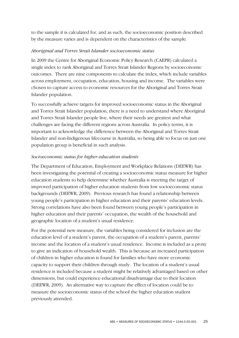to the sample it is calculated for, and as such, the socioeconomic position described by the measure varies and is dependent on the characteristics of the sample.

## *Aboriginal and Torres Strait Islander socioeconomic status*

In 2009 the Centre for Aboriginal Economic Policy Research (CAEPR) calculated a single index to rank Aboriginal and Torres Strait Islander Regions by socioeconomic outcomes. There are nine components to calculate the index, which include variables across employment, occupation, education, housing and income. The variables were chosen to capture access to economic resources for the Aboriginal and Torres Strait Islander population.

To successfully achieve targets for improved socioeconomic status in the Aboriginal and Torres Strait Islander population, there is a need to understand where Aboriginal and Torres Strait Islander people live, where their needs are greatest and what challenges are facing the different regions across Australia. In policy terms, it is important to acknowledge the difference between the Aboriginal and Torres Strait Islander and non-Indigenous lifecourse in Australia, so being able to focus on just one population group is beneficial in such analysis.

## *Socioeconomic status for higher education students*

The Department of Education, Employment and Workplace Relations (DEEWR) has been investigating the potential of creating a socioeconomic status measure for higher education students to help determine whether Australia is meeting the target of improved participation of higher education students from low socioeconomic status backgrounds (DEEWR, 2009). Previous research has found a relationship between young people's participation in higher education and their parents' education levels. Strong correlations have also been found between young people's participation in higher education and their parents' occupation, the wealth of the household and geographic location of a student's usual residence.

For the potential new measure, the variables being considered for inclusion are the education level of a student's parent, the occupation of a student's parent, parents' income and the location of a student's usual residence. Income is included as a proxy to give an indication of household wealth. This is because an increased participation of children in higher education is found for families who have more economic capacity to support their children through study. The location of a student's usual residence is included because a student might be relatively advantaged based on other dimensions, but could experience educational disadvantage due to their location (DEEWR, 2009). An alternative way to capture the effect of location could be to measure the socioeconomic status of the school the higher education student previously attended.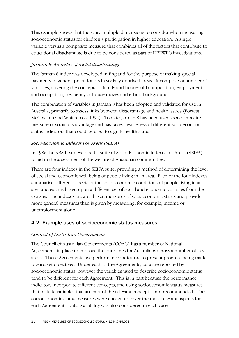This example shows that there are multiple dimensions to consider when measuring socioeconomic status for children's participation in higher education. A single variable versus a composite measure that combines all of the factors that contribute to educational disadvantage is due to be considered as part of DEEWR's investigations.

## *Jarman 8: An index of social disadvantage*

The Jarman 8 index was developed in England for the purpose of making special payments to general practitioners in socially deprived areas. It comprises a number of variables, covering the concepts of family and household composition, employment and occupation, frequency of house moves and ethnic background.

The combination of variables in Jarman 8 has been adopted and validated for use in Australia, primarily to assess links between disadvantage and health issues (Forrest, McCracken and Whitecross, 1992). To date Jarman 8 has been used as a composite measure of social disadvantage and has raised awareness of different socioeconomic status indicators that could be used to signify health status.

## *Socio-Economic Indexes For Areas (SEIFA)*

In 1986 the ABS first developed a suite of Socio-Economic Indexes for Areas (SEIFA), to aid in the assessment of the welfare of Australian communities.

There are four indexes in the SEIFA suite, providing a method of determining the level of social and economic well-being of people living in an area. Each of the four indexes summarise different aspects of the socio-economic conditions of people living in an area and each is based upon a different set of social and economic variables from the Census. The indexes are area based measures of socioeconomic status and provide more general measures than is given by measuring, for example, income or unemployment alone.

## 4.2 Example uses of socioeconomic status measures

## *Council of Australian Governments*

The Council of Australian Governments (COAG) has a number of National Agreements in place to improve the outcomes for Australians across a number of key areas. These Agreements use performance indicators to present progress being made toward set objectives. Under each of the Agreements, data are reported by socioeconomic status, however the variables used to describe socioeconomic status tend to be different for each Agreement. This is in part because the performance indicators incorporate different concepts, and using socioeconomic status measures that include variables that are part of the relevant concept is not recommended. The socioeconomic status measures were chosen to cover the most relevant aspects for each Agreement. Data availability was also considered in each case.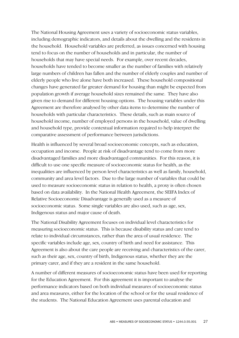The National Housing Agreement uses a variety of socioeconomic status variables, including demographic indicators, and details about the dwelling and the residents in the household. Household variables are preferred, as issues concerned with housing tend to focus on the number of households and in particular, the number of households that may have special needs. For example, over recent decades, households have tended to become smaller as the number of families with relatively large numbers of children has fallen and the number of elderly couples and number of elderly people who live alone have both increased. These household compositional changes have generated far greater demand for housing than might be expected from population growth if average household sizes remained the same. They have also given rise to demand for different housing options. The housing variables under this Agreement are therefore analysed by other data items to determine the number of households with particular characteristics. These details, such as main source of household income, number of employed persons in the household, value of dwelling and household type, provide contextual information required to help interpret the comparative assessment of performance between jurisdictions.

Health is influenced by several broad socioeconomic concepts, such as education, occupation and income. People at risk of disadvantage tend to come from more disadvantaged families and more disadvantaged communities. For this reason, it is difficult to use one specific measure of socioeconomic status for health, as the inequalities are influenced by person level characteristics as well as family, household, community and area level factors. Due to the large number of variables that could be used to measure socioeconomic status in relation to health, a proxy is often chosen based on data availability. In the National Health Agreement, the SEIFA Index of Relative Socioeconomic Disadvantage is generally used as a measure of socioeconomic status. Some single variables are also used, such as age, sex, Indigenous status and major cause of death.

The National Disability Agreement focuses on individual level characteristics for measuring socioeconomic status. This is because disability status and care tend to relate to individual circumstances, rather than the area of usual residence. The specific variables include age, sex, country of birth and need for assistance. This Agreement is also about the care people are receiving and characteristics of the carer, such as their age, sex, country of birth, Indigenous status, whether they are the primary carer, and if they are a resident in the same household.

A number of different measures of socioeconomic status have been used for reporting for the Education Agreement. For this agreement it is important to analyse the performance indicators based on both individual measures of socioeconomic status and area measures, either for the location of the school or for the usual residence of the students. The National Education Agreement uses parental education and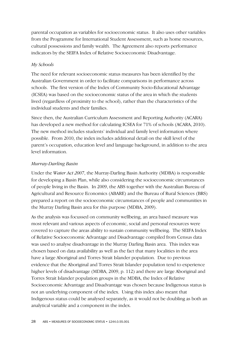parental occupation as variables for socioeconomic status. It also uses other variables from the Programme for International Student Assessment, such as home resources, cultural possessions and family wealth. The Agreement also reports performance indicators by the SEIFA Index of Relative Socioeconomic Disadvantage.

## *My Schools*

The need for relevant socioeconomic status measures has been identified by the Australian Government in order to facilitate comparisons in performance across schools. The first version of the Index of Community Socio-Educational Advantage (ICSEA) was based on the socioeconomic status of the area in which the students lived (regardless of proximity to the school), rather than the characteristics of the individual students and their families.

Since then, the Australian Curriculum Assessment and Reporting Authority (ACARA) has developed a new method for calculating ICSEA for 71% of schools (ACARA, 2010). The new method includes students' individual and family level information where possible. From 2010, the index includes additional detail on the skill level of the parent's occupation, education level and language background, in addition to the area level information.

## *Murray-Darling Basin*

Under the *Water Act 2007*, the Murray-Darling Basin Authority (MDBA) is responsible for developing a Basin Plan, while also considering the socioeconomic circumstances of people living in the Basin. In 2009, the ABS together with the Australian Bureau of Agricultural and Resource Economics (ABARE) and the Bureau of Rural Sciences (BRS) prepared a report on the socioeconomic circumstances of people and communities in the Murray Darling Basin area for this purpose (MDBA, 2009).

As the analysis was focussed on community wellbeing, an area based measure was most relevant and various aspects of economic, social and personal resources were covered to capture the areas ability to sustain community wellbeing. The SEIFA Index of Relative Socioeconomic Advantage and Disadvantage compiled from Census data was used to analyse disadvantage in the Murray Darling Basin area. This index was chosen based on data availability as well as the fact that many localities in the area have a large Aboriginal and Torres Strait Islander population. Due to previous evidence that the Aboriginal and Torres Strait Islander population tend to experience higher levels of disadvantage (MDBA, 2009, p. 112) and there are large Aboriginal and Torres Strait Islander population groups in the MDBA, the Index of Relative Socioeconomic Advantage and Disadvantage was chosen because Indigenous status is not an underlying component of the index. Using this index also meant that Indigenous status could be analysed separately, as it would not be doubling as both an analytical variable and a component in the index.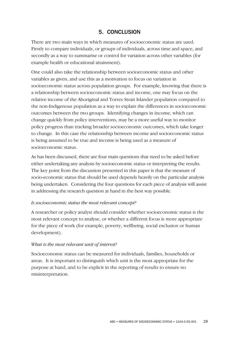## 5. CONCLUSION

There are two main ways in which measures of socioeconomic status are used. Firstly to compare individuals, or groups of individuals, across time and space, and secondly as a way to summarise or control for variation across other variables (for example health or educational attainment).

One could also take the relationship between socioeconomic status and other variables as given, and use this as a motivation to focus on variation in socioeconomic status across population groups. For example, knowing that there is a relationship between socioeconomic status and income, one may focus on the relative income of the Aboriginal and Torres Strait Islander population compared to the non-Indigenous population as a way to explain the differences in socioeconomic outcomes between the two groups. Identifying changes in income, which can change quickly from policy interventions, may be a more useful way to monitor policy progress than tracking broader socioeconomic outcomes, which take longer to change. In this case the relationship between income and socioeconomic status is being assumed to be true and income is being used as a measure of socioeconomic status.

As has been discussed, there are four main questions that need to be asked before either undertaking any analysis by socioeconomic status or interpreting the results. The key point from the discussion presented in this paper is that the measure of socio-economic status that should be used depends heavily on the particular analysis being undertaken. Considering the four questions for each piece of analysis will assist in addressing the research question at hand in the best way possible.

#### *Is socioeconomic status the most relevant concept?*

A researcher or policy analyst should consider whether socioeconomic status is the most relevant concept to analyse, or whether a different focus is more appropriate for the piece of work (for example, poverty, wellbeing, social exclusion or human development).

## *What is the most relevant unit of interest?*

Socioeconomic status can be measured for individuals, families, households or areas. It is important to distinguish which unit is the most appropriate for the purpose at hand, and to be explicit in the reporting of results to ensure no misinterpretation.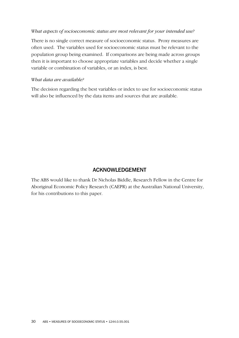#### *What aspects of socioeconomic status are most relevant for your intended use?*

There is no single correct measure of socioeconomic status. Proxy measures are often used. The variables used for socioeconomic status must be relevant to the population group being examined. If comparisons are being made across groups then it is important to choose appropriate variables and decide whether a single variable or combination of variables, or an index, is best.

#### *What data are available?*

The decision regarding the best variables or index to use for socioeconomic status will also be influenced by the data items and sources that are available.

## ACKNOWLEDGEMENT

The ABS would like to thank Dr Nicholas Biddle, Research Fellow in the Centre for Aboriginal Economic Policy Research (CAEPR) at the Australian National University, for his contributions to this paper.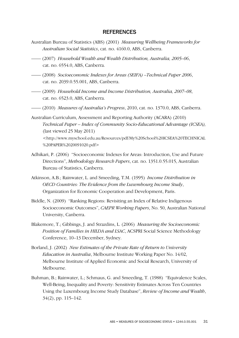#### REFERENCES

- Australian Bureau of Statistics (ABS) (2001) *Measuring Wellbeing Frameworks for Australian Social Statistics*, cat. no. 4160.0, ABS, Canberra.
- —— (2007) *Household Wealth and Wealth Distribution, Australia, 2005–06*, cat. no. 6554.0, ABS, Canberra.
- —— (2008) *Socioeconomic Indexes for Areas (SEIFA) –Technical Paper 2006*, cat. no. 2039.0.55.001, ABS, Canberra.
- —— (2009) *Household Income and Income Distribution, Australia, 2007–08*, cat. no. 6523.0, ABS, Canberra.
- —— (2010) *Measures of Australia's Progress*, 2010, cat. no. 1370.0, ABS, Canberra.
- Australian Curriculum, Assessment and Reporting Authority (ACARA) (2010) *Technical Paper – Index of Community Socio-Educational Advantage (ICSEA),* (last viewed 25 May 2011) <http://www.myschool.edu.au/Resources/pdf/My%20School%20ICSEA%20TECHNICAL %20PAPER%2020091020.pdf>
- Adhikari, P. (2006) "Socioeconomic Indexes for Areas: Introduction, Use and Future Directions", *Methodology Research Papers*, cat. no. 1351.0.55.015, Australian Bureau of Statistics, Canberra.
- Atkinson, A.B.; Rainwater, L. and Smeeding, T.M. (1995) *Income Distribution in OECD Countries: The Evidence from the Luxembourg Income Study*, Organization for Economic Cooperation and Development, Paris.
- Biddle, N. (2009) "Ranking Regions: Revisiting an Index of Relative Indigenous Socioeconomic Outcomes", *CAEPR Working Papers*, No. 50, Australian National University, Canberra.
- Blakemore, T.; Gibbings, J. and Strazdins, L. (2006) *Measuring the Socioeconomic Position of Families in HILDA and LSAC*, ACSPRI Social Science Methodology Conference, 10–13 December, Sydney.
- Borland, J. (2002) *New Estimates of the Private Rate of Return to University Education in Australia*, Melbourne Institute Working Paper No. 14/02, Melbourne Institute of Applied Economic and Social Research, University of Melbourne.
- Buhman, B.; Rainwater, L.; Schmaus, G. and Smeeding, T. (1988) "Equivalence Scales, Well-Being, Inequality and Poverty: Sensitivity Estimates Across Ten Countries Using the Luxembourg Income Study Database", *Review of Income and Wealth*, 34(2), pp. 115–142.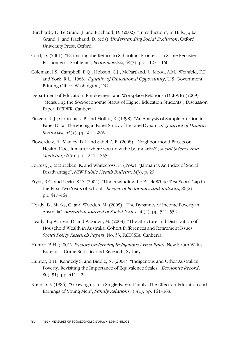- Burchardt, T.; Le Grand, J. and Piachaud, D. (2002) "Introduction", in Hills, J.; Le Grand, J. and Piachaud, D. (eds), *Understanding Social Exclusion*, Oxford University Press, Oxford.
- Card, D. (2001) "Estimating the Return to Schooling: Progress on Some Persistent Econometric Problems", *Econometrica*, 69(5), pp. 1127–1160.
- Coleman, J.S.; Campbell, E.Q.; Hobson, C.J.; McPartland, J.; Mood, A.M.; Weinfeld, F.D. and York, R.L. (1966) *Equality of Educational Opportunity*, U.S. Government Printing Office, Washington, DC.
- Department of Education, Employment and Workplace Relations (DEEWR) (2009) "Measuring the Socioeconomic Status of Higher Education Students", Discussion Paper, DEEWR, Canberra.
- Fitzgerald, J.; Gottschalk, P. and Moffitt, R. (1998) "An Analysis of Sample Attrition in Panel Data: The Michigan Panel Study of Income Dynamics", *Journal of Human Resources*, 33(2), pp. 251–299.
- Flowerdew, R.; Manley, D.J. and Sabel, C.E. (2008) "Neighbourhood Effects on Health: Does it matter where you draw the boundaries?", *Social Science and Medicine*, 66(6), pp. 1241–1255.
- Forrest, J.; McCracken, K. and Whitecross, P. (1992) "Jarman 8: An Index of Social Disadvantage", *NSW Public Health Bulletin*, 3(3), p. 29.
- Fryer, R.G. and Levitt, S.D. (2004) "Understanding the Black-White Test Score Gap in the First Two Years of School", *Review of Economics and Statistics*, 86(2), pp. 447–464.
- Heady, B.; Marks, G. and Wooden, M. (2005) "The Dynamics of Income Poverty in Australia", *Australian Journal of Social Issues*, 40(4), pp. 541–552.
- Heady, B.; Warren, D. and Wooden, M. (2008) "The Structure and Distribution of Household Wealth in Australia: Cohort Differences and Retirement Issues", *Social Policy Research Papers*, No. 33, FaHCSIA, Canberra.
- Hunter, B.H. (2001) *Factors Underlying Indigenous Arrest Rates*, New South Wales Bureau of Crime Statistics and Research, Sydney.
- Hunter, B.H.; Kennedy S. and Biddle, N. (2004) "Indigenous and Other Australian Poverty: Revisiting the Importance of Equivalence Scales", *Economic Record*, 80(251), pp. 411–422.
- Krein, S.F. (1986) "Growing up in a Single Parent Family: The Effect on Education and Earnings of Young Men", *Family Relations*, 35(1), pp. 161–168.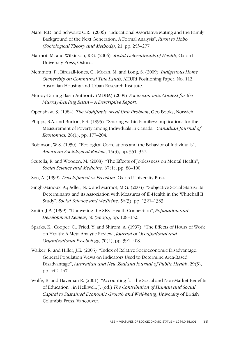- Mare, R.D. and Schwartz C.R., (2006) "Educational Assortative Mating and the Family Background of the Next Generation: A Formal Analysis", *Riron to Hoho (Sociological Theory and Methods)*, 21, pp. 253–277.
- Marmot, M. and Wilkinson, R.G. (2006) *Social Determinants of Health*, Oxford University Press, Oxford.
- Memmott, P.; Birdsall-Jones, C.; Moran, M. and Long, S. (2009) *Indigenous Home Ownership on Communal Title Lands*, AHURI Positioning Paper, No. 112. Australian Housing and Urban Research Institute.
- Murray-Darling Basin Authority (MDBA) (2009) *Socioeconomic Context for the Murray-Darling Basin – A Descriptive Report*.
- Openshaw, S. (1984) *The Modifiable Areal Unit Problem*, Geo Books, Norwich.
- Phipps, S.A. and Burton, P.S. (1995) "Sharing within Families: Implications for the Measurement of Poverty among Individuals in Canada", *Canadian Journal of Economics,* 28(1), pp. 177–204.
- Robinson, W.S. (1950) "Ecological Correlations and the Behavior of Individuals", *American Sociological Review*, 15(3), pp. 351–357.
- Scutella, R. and Wooden, M. (2008) "The Effects of Joblessness on Mental Health", *Social Science and Medicine*, 67(1), pp. 88–100.
- Sen, A. (1999) *Development as Freedom*, Oxford University Press.
- Singh-Manoux, A.; Adler, N.E. and Marmot, M.G. (2003) "Subjective Social Status: Its Determinants and its Association with Measures of Ill-Health in the Whitehall II Study", *Social Science and Medicine*, 56(3), pp. 1321–1333.
- Smith, J.P. (1999) "Unraveling the SES–Health Connection", *Population and Development Review*, 30 (Supp.), pp. 108–132.
- Sparks, K.; Cooper, C.; Fried, Y. and Shirom, A. (1997) "The Effects of Hours of Work on Health: A Meta-Analytic Review', *Journal of Occupational and Organizational Psychology,* 70(4), pp. 391–408.
- Walker, R. and Hiller, J.E. (2005) "Index of Relative Socioeconomic Disadvantage: General Population Views on Indicators Used to Determine Area-Based Disadvantage", *Australian and New Zealand Journal of Public Health*, 29(5), pp. 442–447.
- Wolfe, B. and Haveman R. (2001) "Accounting for the Social and Non-Market Benefits of Education", in Helliwell, J. (ed.) *The Contribution of Human and Social Capital to Sustained Economic Growth and Well-being*, University of British Columbia Press, Vancouver.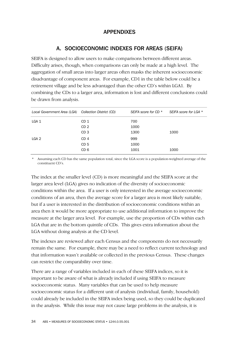## APPENDIXES

## A. SOCIOECONOMIC INDEXES FOR AREAS (SEIFA)

SEIFA is designed to allow users to make comparisons between different areas. Difficulty arises, though, when comparisons can only be made at a high level. The aggregation of small areas into larger areas often masks the inherent socioeconomic disadvantage of component areas. For example, CD1 in the table below could be a retirement village and be less advantaged than the other CD's within LGA1. By combining the CDs to a larger area, information is lost and different conclusions could be drawn from analysis.

| Local Government Area (LGA) Collection District (CD) | SEIFA score for CD * | SEIFA score for LGA * |
|------------------------------------------------------|----------------------|-----------------------|
| CD 1                                                 | 700                  |                       |
| CD <sub>2</sub>                                      | 1000                 |                       |
| CD <sub>3</sub>                                      | 1300                 | 1000                  |
| CD <sub>4</sub>                                      | 999                  |                       |
| CD <sub>5</sub>                                      | 1000                 |                       |
| CD 6                                                 | 1001                 | 1000                  |
|                                                      |                      |                       |

\* Assuming each CD has the same population total, since the LGA score is a population-weighted average of the constituent CD's.

The index at the smaller level (CD) is more meaningful and the SEIFA score at the larger area level (LGA) gives no indication of the diversity of socioeconomic conditions within the area. If a user is only interested in the average socioeconomic conditions of an area, then the average score for a larger area is most likely suitable, but if a user is interested in the distribution of socioeconomic conditions within an area then it would be more appropriate to use additional information to improve the measure at the larger area level. For example, use the proportion of CDs within each LGA that are in the bottom quintile of CDs. This gives extra information about the LGA without doing analysis at the CD level.

The indexes are reviewed after each Census and the components do not necessarily remain the same. For example, there may be a need to reflect current technology and that information wasn't available or collected in the previous Census. These changes can restrict the comparability over time.

There are a range of variables included in each of these SEIFA indices, so it is important to be aware of what is already included if using SEIFA to measure socioeconomic status. Many variables that can be used to help measure socioeconomic status for a different unit of analysis (individual, family, household) could already be included in the SEIFA index being used, so they could be duplicated in the analysis. While this issue may not cause large problems in the analysis, it is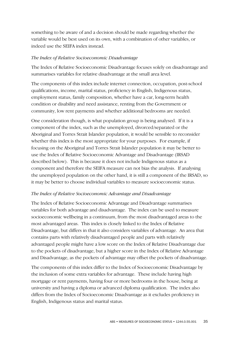something to be aware of and a decision should be made regarding whether the variable would be best used on its own, with a combination of other variables, or indeed use the SEIFA index instead.

#### *The Index of Relative Socioeconomic Disadvantage*

The Index of Relative Socioeconomic Disadvantage focuses solely on disadvantage and summarises variables for relative disadvantage at the small area level.

The components of this index include internet connection, occupation, post-school qualifications, income, marital status, proficiency in English, Indigenous status, employment status, family composition, whether have a car, long-term health condition or disability and need assistance, renting from the Government or community, low rent payments and whether additional bedrooms are needed.

One consideration though, is what population group is being analysed. If it is a component of the index, such as the unemployed, divorced/separated or the Aboriginal and Torres Strait Islander population, it would be sensible to reconsider whether this index is the most appropriate for your purposes. For example, if focusing on the Aboriginal and Torres Strait Islander population it may be better to use the Index of Relative Socioeconomic Advantage and Disadvantage (IRSAD described below). This is because it does not include Indigenous status as a component and therefore the SEIFA measure can not bias the analysis. If analysing the unemployed population on the other hand, it is still a component of the IRSAD, so it may be better to choose individual variables to measure socioeconomic status.

## *The Index of Relative Socioeconomic Advantage and Disadvantage*

The Index of Relative Socioeconomic Advantage and Disadvantage summarises variables for both advantage and disadvantage. The index can be used to measure socioeconomic wellbeing in a continuum, from the most disadvantaged areas to the most advantaged areas. This index is closely linked to the Index of Relative Disadvantage, but differs in that it also considers variables of advantage. An area that contains parts with relatively disadvantaged people and parts with relatively advantaged people might have a low score on the Index of Relative Disadvantage due to the pockets of disadvantage, but a higher score in the Index of Relative Advantage and Disadvantage, as the pockets of advantage may offset the pockets of disadvantage.

The components of this index differ to the Index of Socioeconomic Disadvantage by the inclusion of some extra variables for advantage. These include having high mortgage or rent payments, having four or more bedrooms in the house, being at university and having a diploma or advanced diploma qualification. The index also differs from the Index of Socioeconomic Disadvantage as it excludes proficiency in English, Indigenous status and marital status.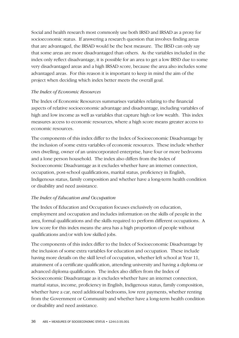Social and health research most commonly use both IRSD and IRSAD as a proxy for socioeconomic status. If answering a research question that involves finding areas that are advantaged, the IRSAD would be the best measure. The IRSD can only say that some areas are more disadvantaged than others. As the variables included in the index only reflect disadvantage, it is possible for an area to get a low IRSD due to some very disadvantaged areas and a high IRSAD score, because the area also includes some advantaged areas. For this reason it is important to keep in mind the aim of the project when deciding which index better meets the overall goal.

## *The Index of Economic Resources*

The Index of Economic Resources summarises variables relating to the financial aspects of relative socioeconomic advantage and disadvantage, including variables of high and low income as well as variables that capture high or low wealth. This index measures access to economic resources, where a high score means greater access to economic resources.

The components of this index differ to the Index of Socioeconomic Disadvantage by the inclusion of some extra variables of economic resources. These include whether own dwelling, owner of an unincorporated enterprise, have four or more bedrooms and a lone person household. The index also differs from the Index of Socioeconomic Disadvantage as it excludes whether have an internet connection, occupation, post-school qualifications, marital status, proficiency in English, Indigenous status, family composition and whether have a long-term health condition or disability and need assistance.

## *The Index of Education and Occupation*

The Index of Education and Occupation focuses exclusively on education, employment and occupation and includes information on the skills of people in the area, formal qualifications and the skills required to perform different occupations. A low score for this index means the area has a high proportion of people without qualifications and/or with low skilled jobs.

The components of this index differ to the Index of Socioeconomic Disadvantage by the inclusion of some extra variables for education and occupation. These include having more details on the skill level of occupation, whether left school at Year 11, attainment of a certificate qualification, attending university and having a diploma or advanced diploma qualification. The index also differs from the Index of Socioeconomic Disadvantage as it excludes whether have an internet connection, marital status, income, proficiency in English, Indigenous status, family composition, whether have a car, need additional bedrooms, low rent payments, whether renting from the Government or Community and whether have a long-term health condition or disability and need assistance.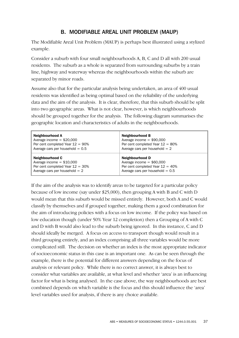## B. MODIFIABLE AREAL UNIT PROBLEM (MAUP)

The Modifiable Areal Unit Problem (MAUP) is perhaps best illustrated using a stylized example.

Consider a suburb with four small neighbourhoods A, B, C and D all with 200 usual residents. The suburb as a whole is separated from surrounding suburbs by a train line, highway and waterway whereas the neighbourhoods within the suburb are separated by minor roads.

Assume also that for the particular analysis being undertaken, an area of 400 usual residents was identified as being optimal based on the reliability of the underlying data and the aim of the analysis. It is clear, therefore, that this suburb should be split into two geographic areas. What is not clear, however, is which neighbourhoods should be grouped together for the analysis. The following diagram summarises the geographic location and characteristics of adults in the neighbourhoods.

| Neighbourhood A                     | <b>Neighbourhood B</b>              |
|-------------------------------------|-------------------------------------|
| Average income $= $20,000$          | Average income $= $90,000$          |
| Per cent completed Year $12 = 90\%$ | Per cent completed Year $12 = 80\%$ |
| Average cars per household $= 0.5$  | Average cars per household $= 2$    |
| Neighbourhood C                     | <b>Neighbourhood D</b>              |
| Average income $= $10,000$          | Average income $=$ \$60,000         |
| Per cent completed Year $12 = 30\%$ | Per cent completed Year $12 = 40\%$ |
| Average cars per household $= 2$    | Average cars per household $= 0.5$  |

If the aim of the analysis was to identify areas to be targeted for a particular policy because of low income (say under \$25,000), then grouping A with B and C with D would mean that this suburb would be missed entirely. However, both A and C would classify by themselves and if grouped together, making them a good combination for the aim of introducing policies with a focus on low income. If the policy was based on low education though (under 50% Year 12 completion) then a Grouping of A with C and D with B would also lead to the suburb being ignored. In this instance, C and D should ideally be merged. A focus on access to transport though would result in a third grouping entirely, and an index comprising all three variables would be more complicated still. The decision on whether an index is the most appropriate indicator of socioeconomic status in this case is an important one. As can be seen through the example, there is the potential for different answers depending on the focus of analysis or relevant policy. While there is no correct answer, it is always best to consider what variables are available, at what level and whether 'area' is an influencing factor for what is being analysed. In the case above, the way neighbourhoods are best combined depends on which variable is the focus and this should influence the 'area' level variables used for analysis, if there is any choice available.